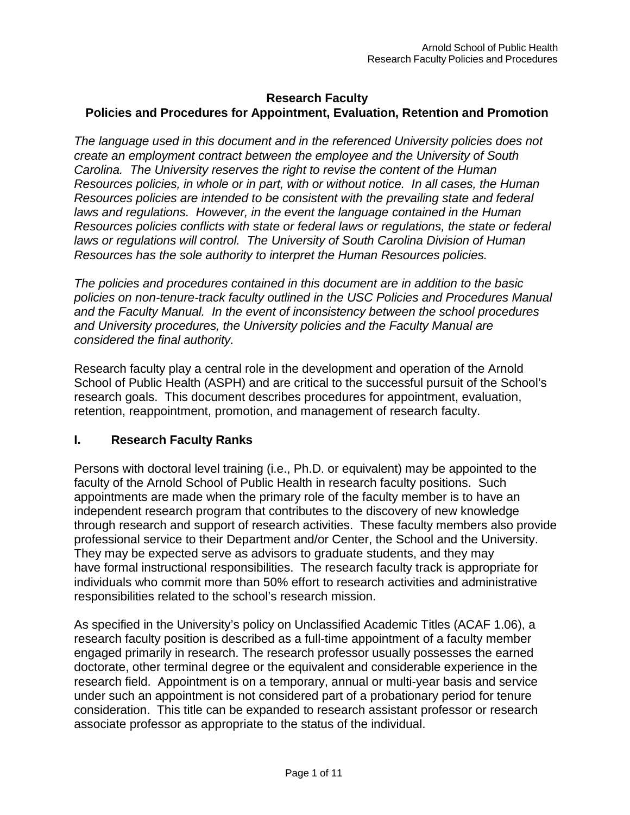### **Research Faculty**

## **Policies and Procedures for Appointment, Evaluation, Retention and Promotion**

*The language used in this document and in the referenced University policies does not create an employment contract between the employee and the University of South Carolina. The University reserves the right to revise the content of the Human Resources policies, in whole or in part, with or without notice. In all cases, the Human Resources policies are intended to be consistent with the prevailing state and federal laws and regulations. However, in the event the language contained in the Human Resources policies conflicts with state or federal laws or regulations, the state or federal laws or regulations will control. The University of South Carolina Division of Human Resources has the sole authority to interpret the Human Resources policies.*

*The policies and procedures contained in this document are in addition to the basic policies on non-tenure-track faculty outlined in the USC Policies and Procedures Manual and the Faculty Manual. In the event of inconsistency between the school procedures and University procedures, the University policies and the Faculty Manual are considered the final authority.*

Research faculty play a central role in the development and operation of the Arnold School of Public Health (ASPH) and are critical to the successful pursuit of the School's research goals. This document describes procedures for appointment, evaluation, retention, reappointment, promotion, and management of research faculty.

### **I. Research Faculty Ranks**

Persons with doctoral level training (i.e., Ph.D. or equivalent) may be appointed to the faculty of the Arnold School of Public Health in research faculty positions. Such appointments are made when the primary role of the faculty member is to have an independent research program that contributes to the discovery of new knowledge through research and support of research activities. These faculty members also provide professional service to their Department and/or Center, the School and the University. They may be expected serve as advisors to graduate students, and they may have formal instructional responsibilities. The research faculty track is appropriate for individuals who commit more than 50% effort to research activities and administrative responsibilities related to the school's research mission.

As specified in the University's policy on Unclassified Academic Titles (ACAF 1.06), a research faculty position is described as a full-time appointment of a faculty member engaged primarily in research. The research professor usually possesses the earned doctorate, other terminal degree or the equivalent and considerable experience in the research field. Appointment is on a temporary, annual or multi-year basis and service under such an appointment is not considered part of a probationary period for tenure consideration. This title can be expanded to research assistant professor or research associate professor as appropriate to the status of the individual.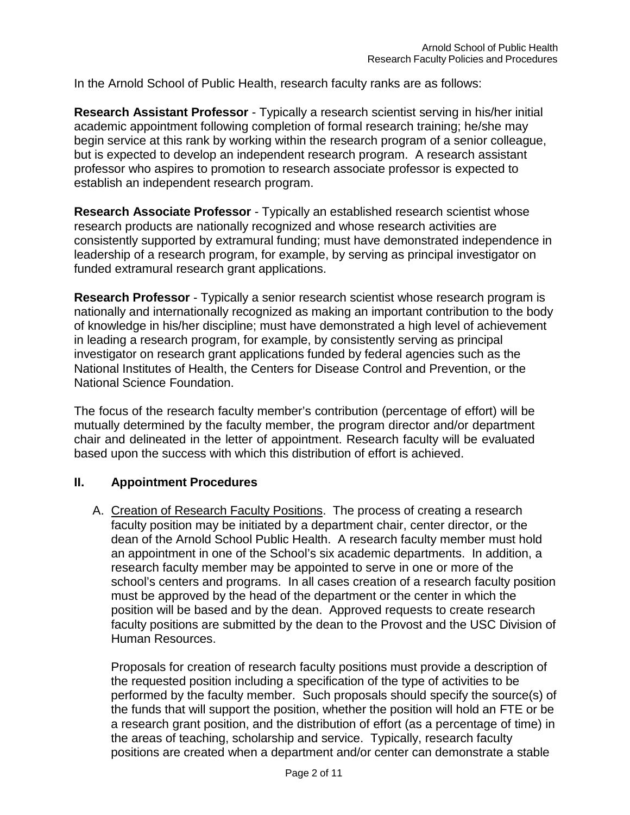In the Arnold School of Public Health, research faculty ranks are as follows:

**Research Assistant Professor** - Typically a research scientist serving in his/her initial academic appointment following completion of formal research training; he/she may begin service at this rank by working within the research program of a senior colleague, but is expected to develop an independent research program. A research assistant professor who aspires to promotion to research associate professor is expected to establish an independent research program.

**Research Associate Professor** - Typically an established research scientist whose research products are nationally recognized and whose research activities are consistently supported by extramural funding; must have demonstrated independence in leadership of a research program, for example, by serving as principal investigator on funded extramural research grant applications.

**Research Professor** - Typically a senior research scientist whose research program is nationally and internationally recognized as making an important contribution to the body of knowledge in his/her discipline; must have demonstrated a high level of achievement in leading a research program, for example, by consistently serving as principal investigator on research grant applications funded by federal agencies such as the National Institutes of Health, the Centers for Disease Control and Prevention, or the National Science Foundation.

The focus of the research faculty member's contribution (percentage of effort) will be mutually determined by the faculty member, the program director and/or department chair and delineated in the letter of appointment. Research faculty will be evaluated based upon the success with which this distribution of effort is achieved.

#### **II. Appointment Procedures**

A. Creation of Research Faculty Positions. The process of creating a research faculty position may be initiated by a department chair, center director, or the dean of the Arnold School Public Health. A research faculty member must hold an appointment in one of the School's six academic departments. In addition, a research faculty member may be appointed to serve in one or more of the school's centers and programs. In all cases creation of a research faculty position must be approved by the head of the department or the center in which the position will be based and by the dean. Approved requests to create research faculty positions are submitted by the dean to the Provost and the USC Division of Human Resources.

Proposals for creation of research faculty positions must provide a description of the requested position including a specification of the type of activities to be performed by the faculty member. Such proposals should specify the source(s) of the funds that will support the position, whether the position will hold an FTE or be a research grant position, and the distribution of effort (as a percentage of time) in the areas of teaching, scholarship and service. Typically, research faculty positions are created when a department and/or center can demonstrate a stable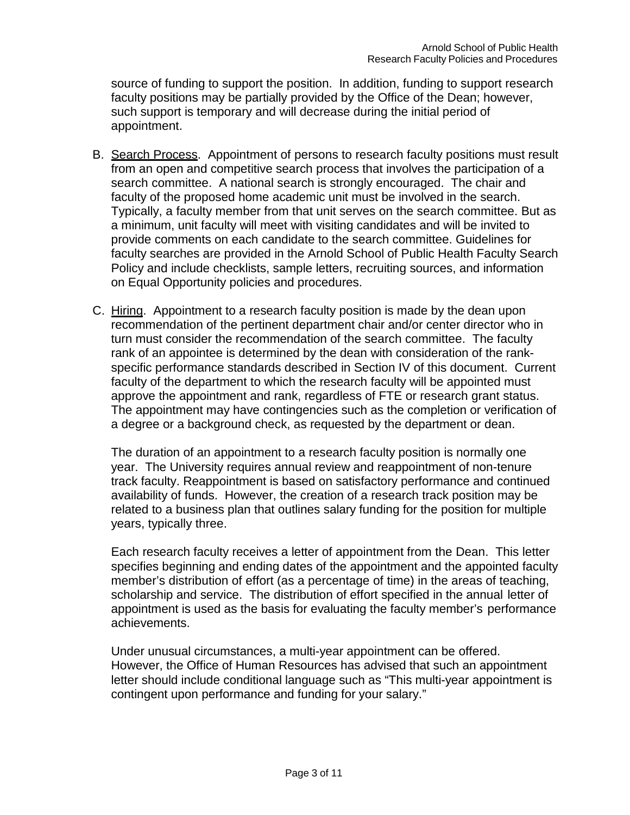source of funding to support the position. In addition, funding to support research faculty positions may be partially provided by the Office of the Dean; however, such support is temporary and will decrease during the initial period of appointment.

- B. Search Process. Appointment of persons to research faculty positions must result from an open and competitive search process that involves the participation of a search committee. A national search is strongly encouraged. The chair and faculty of the proposed home academic unit must be involved in the search. Typically, a faculty member from that unit serves on the search committee. But as a minimum, unit faculty will meet with visiting candidates and will be invited to provide comments on each candidate to the search committee. Guidelines for faculty searches are provided in the Arnold School of Public Health Faculty Search Policy and include checklists, sample letters, recruiting sources, and information on Equal Opportunity policies and procedures.
- C. Hiring. Appointment to a research faculty position is made by the dean upon recommendation of the pertinent department chair and/or center director who in turn must consider the recommendation of the search committee. The faculty rank of an appointee is determined by the dean with consideration of the rankspecific performance standards described in Section IV of this document. Current faculty of the department to which the research faculty will be appointed must approve the appointment and rank, regardless of FTE or research grant status. The appointment may have contingencies such as the completion or verification of a degree or a background check, as requested by the department or dean.

The duration of an appointment to a research faculty position is normally one year. The University requires annual review and reappointment of non-tenure track faculty. Reappointment is based on satisfactory performance and continued availability of funds. However, the creation of a research track position may be related to a business plan that outlines salary funding for the position for multiple years, typically three.

Each research faculty receives a letter of appointment from the Dean. This letter specifies beginning and ending dates of the appointment and the appointed faculty member's distribution of effort (as a percentage of time) in the areas of teaching, scholarship and service. The distribution of effort specified in the annual letter of appointment is used as the basis for evaluating the faculty member's performance achievements.

Under unusual circumstances, a multi-year appointment can be offered. However, the Office of Human Resources has advised that such an appointment letter should include conditional language such as "This multi-year appointment is contingent upon performance and funding for your salary."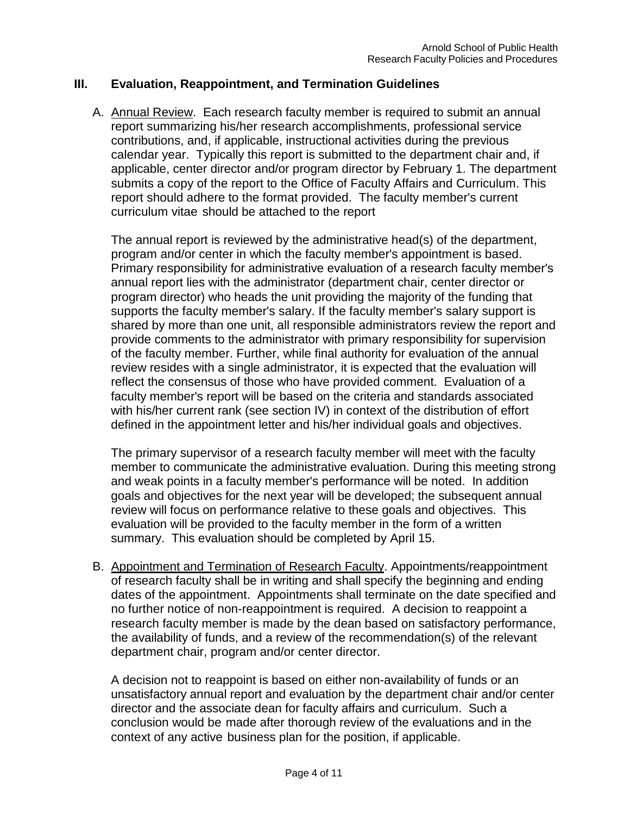### **III. Evaluation, Reappointment, and Termination Guidelines**

A. Annual Review. Each research faculty member is required to submit an annual report summarizing his/her research accomplishments, professional service contributions, and, if applicable, instructional activities during the previous calendar year. Typically this report is submitted to the department chair and, if applicable, center director and/or program director by February 1. The department submits a copy of the report to the Office of Faculty Affairs and Curriculum. This report should adhere to the format provided. The faculty member's current curriculum vitae should be attached to the report

The annual report is reviewed by the administrative head(s) of the department, program and/or center in which the faculty member's appointment is based. Primary responsibility for administrative evaluation of a research faculty member's annual report lies with the administrator (department chair, center director or program director) who heads the unit providing the majority of the funding that supports the faculty member's salary. If the faculty member's salary support is shared by more than one unit, all responsible administrators review the report and provide comments to the administrator with primary responsibility for supervision of the faculty member. Further, while final authority for evaluation of the annual review resides with a single administrator, it is expected that the evaluation will reflect the consensus of those who have provided comment. Evaluation of a faculty member's report will be based on the criteria and standards associated with his/her current rank (see section IV) in context of the distribution of effort defined in the appointment letter and his/her individual goals and objectives.

The primary supervisor of a research faculty member will meet with the faculty member to communicate the administrative evaluation. During this meeting strong and weak points in a faculty member's performance will be noted. In addition goals and objectives for the next year will be developed; the subsequent annual review will focus on performance relative to these goals and objectives. This evaluation will be provided to the faculty member in the form of a written summary. This evaluation should be completed by April 15.

B. Appointment and Termination of Research Faculty. Appointments/reappointment of research faculty shall be in writing and shall specify the beginning and ending dates of the appointment. Appointments shall terminate on the date specified and no further notice of non-reappointment is required. A decision to reappoint a research faculty member is made by the dean based on satisfactory performance, the availability of funds, and a review of the recommendation(s) of the relevant department chair, program and/or center director.

A decision not to reappoint is based on either non-availability of funds or an unsatisfactory annual report and evaluation by the department chair and/or center director and the associate dean for faculty affairs and curriculum. Such a conclusion would be made after thorough review of the evaluations and in the context of any active business plan for the position, if applicable.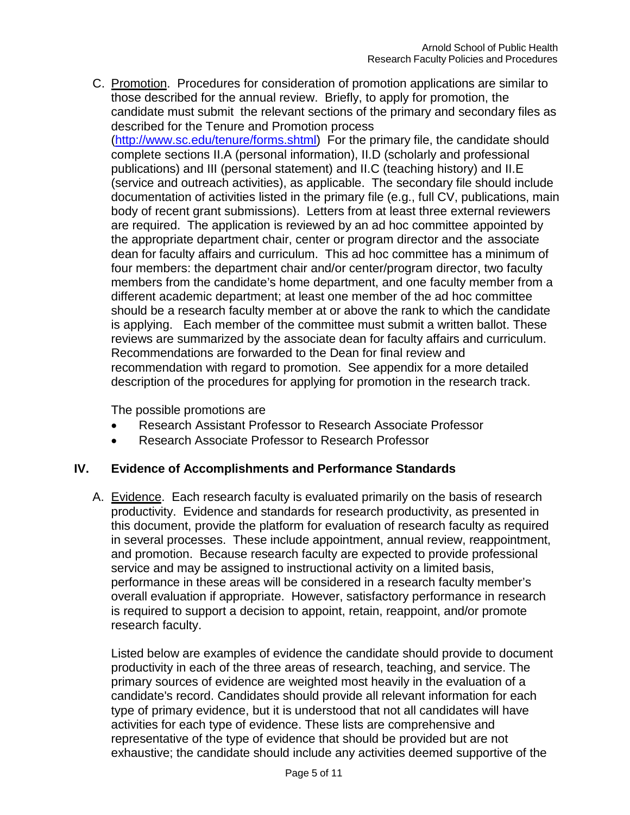C. Promotion. Procedures for consideration of promotion applications are similar to those described for the annual review. Briefly, to apply for promotion, the candidate must submit the relevant sections of the primary and secondary files as described for the Tenure and Promotion process [\(http://www.sc.edu/tenure/forms.shtml\)](http://www.sc.edu/tenure/forms.shtml)) For the primary file, the candidate should complete sections II.A (personal information), II.D (scholarly and professional publications) and III (personal statement) and II.C (teaching history) and II.E (service and outreach activities), as applicable. The secondary file should include documentation of activities listed in the primary file (e.g., full CV, publications, main body of recent grant submissions). Letters from at least three external reviewers are required. The application is reviewed by an ad hoc committee appointed by the appropriate department chair, center or program director and the associate dean for faculty affairs and curriculum. This ad hoc committee has a minimum of four members: the department chair and/or center/program director, two faculty members from the candidate's home department, and one faculty member from a different academic department; at least one member of the ad hoc committee should be a research faculty member at or above the rank to which the candidate is applying. Each member of the committee must submit a written ballot. These reviews are summarized by the associate dean for faculty affairs and curriculum. Recommendations are forwarded to the Dean for final review and recommendation with regard to promotion. See appendix for a more detailed description of the procedures for applying for promotion in the research track.

The possible promotions are

- Research Assistant Professor to Research Associate Professor
- Research Associate Professor to Research Professor

### **IV. Evidence of Accomplishments and Performance Standards**

A. Evidence. Each research faculty is evaluated primarily on the basis of research productivity. Evidence and standards for research productivity, as presented in this document, provide the platform for evaluation of research faculty as required in several processes. These include appointment, annual review, reappointment, and promotion. Because research faculty are expected to provide professional service and may be assigned to instructional activity on a limited basis, performance in these areas will be considered in a research faculty member's overall evaluation if appropriate. However, satisfactory performance in research is required to support a decision to appoint, retain, reappoint, and/or promote research faculty.

Listed below are examples of evidence the candidate should provide to document productivity in each of the three areas of research, teaching, and service. The primary sources of evidence are weighted most heavily in the evaluation of a candidate's record. Candidates should provide all relevant information for each type of primary evidence, but it is understood that not all candidates will have activities for each type of evidence. These lists are comprehensive and representative of the type of evidence that should be provided but are not exhaustive; the candidate should include any activities deemed supportive of the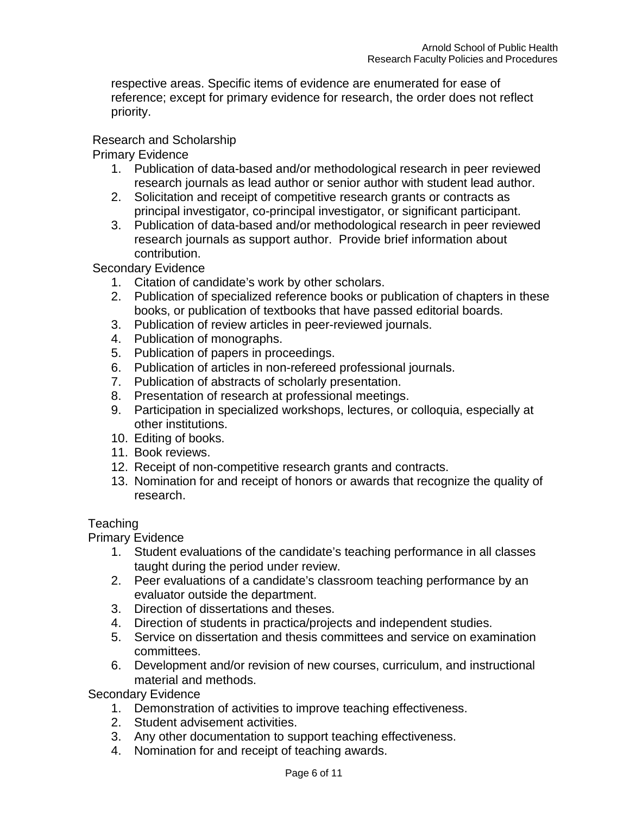respective areas. Specific items of evidence are enumerated for ease of reference; except for primary evidence for research, the order does not reflect priority.

### Research and Scholarship

Primary Evidence

- 1. Publication of data-based and/or methodological research in peer reviewed research journals as lead author or senior author with student lead author.
- 2. Solicitation and receipt of competitive research grants or contracts as principal investigator, co-principal investigator, or significant participant.
- 3. Publication of data-based and/or methodological research in peer reviewed research journals as support author. Provide brief information about contribution.

Secondary Evidence

- 1. Citation of candidate's work by other scholars.
- 2. Publication of specialized reference books or publication of chapters in these books, or publication of textbooks that have passed editorial boards.
- 3. Publication of review articles in peer-reviewed journals.
- 4. Publication of monographs.
- 5. Publication of papers in proceedings.
- 6. Publication of articles in non-refereed professional journals.
- 7. Publication of abstracts of scholarly presentation.
- 8. Presentation of research at professional meetings.
- 9. Participation in specialized workshops, lectures, or colloquia, especially at other institutions.
- 10. Editing of books.
- 11. Book reviews.
- 12. Receipt of non-competitive research grants and contracts.
- 13. Nomination for and receipt of honors or awards that recognize the quality of research.

### **Teaching**

Primary Evidence

- 1. Student evaluations of the candidate's teaching performance in all classes taught during the period under review.
- 2. Peer evaluations of a candidate's classroom teaching performance by an evaluator outside the department.
- 3. Direction of dissertations and theses.
- 4. Direction of students in practica/projects and independent studies.
- 5. Service on dissertation and thesis committees and service on examination committees.
- 6. Development and/or revision of new courses, curriculum, and instructional material and methods.

Secondary Evidence

- 1. Demonstration of activities to improve teaching effectiveness.
- 2. Student advisement activities.
- 3. Any other documentation to support teaching effectiveness.
- 4. Nomination for and receipt of teaching awards.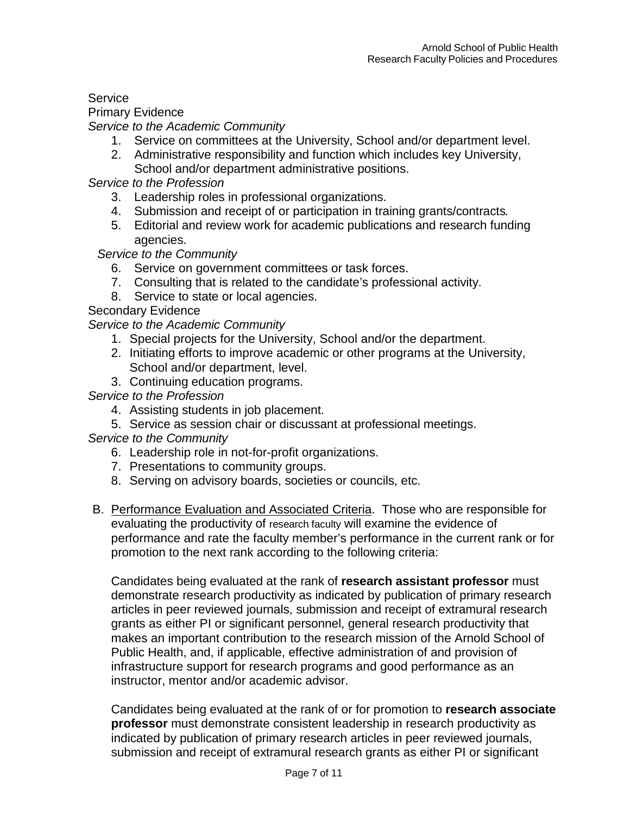# **Service**

Primary Evidence

*Service to the Academic Community*

- 1. Service on committees at the University, School and/or department level.
- 2. Administrative responsibility and function which includes key University, School and/or department administrative positions.

*Service to the Profession*

- 3. Leadership roles in professional organizations.
- 4. Submission and receipt of or participation in training grants/contracts*.*
- 5. Editorial and review work for academic publications and research funding agencies.

*Service to the Community*

- 6. Service on government committees or task forces.
- 7. Consulting that is related to the candidate's professional activity.
- 8. Service to state or local agencies.

Secondary Evidence

*Service to the Academic Community*

- 1. Special projects for the University, School and/or the department.
- 2. Initiating efforts to improve academic or other programs at the University, School and/or department, level.
- 3. Continuing education programs.

*Service to the Profession*

- 4. Assisting students in job placement.
- 5. Service as session chair or discussant at professional meetings.

*Service to the Community*

- 6. Leadership role in not-for-profit organizations.
- 7. Presentations to community groups.
- 8. Serving on advisory boards, societies or councils, etc.
- B. Performance Evaluation and Associated Criteria. Those who are responsible for evaluating the productivity of research faculty will examine the evidence of performance and rate the faculty member's performance in the current rank or for promotion to the next rank according to the following criteria:

Candidates being evaluated at the rank of **research assistant professor** must demonstrate research productivity as indicated by publication of primary research articles in peer reviewed journals, submission and receipt of extramural research grants as either PI or significant personnel, general research productivity that makes an important contribution to the research mission of the Arnold School of Public Health, and, if applicable, effective administration of and provision of infrastructure support for research programs and good performance as an instructor, mentor and/or academic advisor.

Candidates being evaluated at the rank of or for promotion to **research associate professor** must demonstrate consistent leadership in research productivity as indicated by publication of primary research articles in peer reviewed journals, submission and receipt of extramural research grants as either PI or significant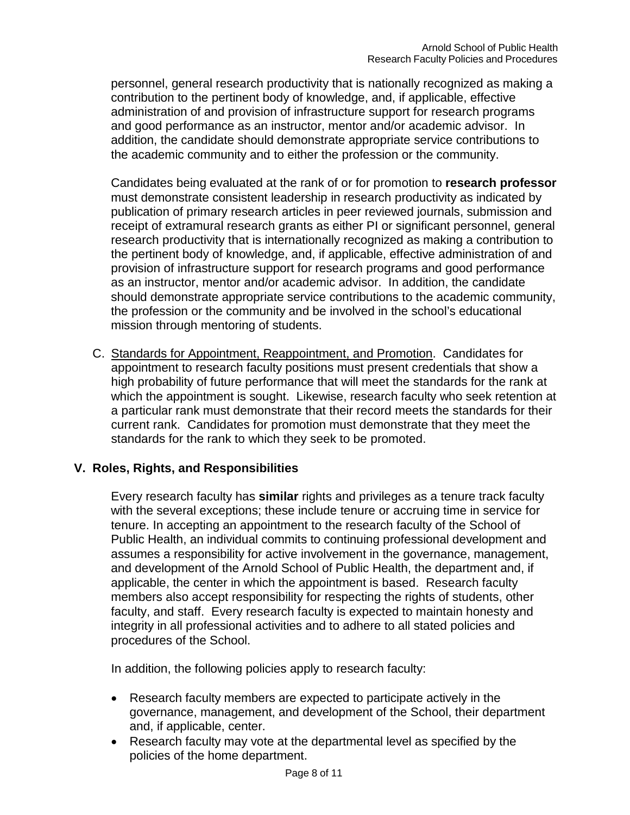personnel, general research productivity that is nationally recognized as making a contribution to the pertinent body of knowledge, and, if applicable, effective administration of and provision of infrastructure support for research programs and good performance as an instructor, mentor and/or academic advisor. In addition, the candidate should demonstrate appropriate service contributions to the academic community and to either the profession or the community.

Candidates being evaluated at the rank of or for promotion to **research professor** must demonstrate consistent leadership in research productivity as indicated by publication of primary research articles in peer reviewed journals, submission and receipt of extramural research grants as either PI or significant personnel, general research productivity that is internationally recognized as making a contribution to the pertinent body of knowledge, and, if applicable, effective administration of and provision of infrastructure support for research programs and good performance as an instructor, mentor and/or academic advisor. In addition, the candidate should demonstrate appropriate service contributions to the academic community, the profession or the community and be involved in the school's educational mission through mentoring of students.

C. Standards for Appointment, Reappointment, and Promotion. Candidates for appointment to research faculty positions must present credentials that show a high probability of future performance that will meet the standards for the rank at which the appointment is sought. Likewise, research faculty who seek retention at a particular rank must demonstrate that their record meets the standards for their current rank. Candidates for promotion must demonstrate that they meet the standards for the rank to which they seek to be promoted.

### **V. Roles, Rights, and Responsibilities**

Every research faculty has **similar** rights and privileges as a tenure track faculty with the several exceptions; these include tenure or accruing time in service for tenure. In accepting an appointment to the research faculty of the School of Public Health, an individual commits to continuing professional development and assumes a responsibility for active involvement in the governance, management, and development of the Arnold School of Public Health, the department and, if applicable, the center in which the appointment is based. Research faculty members also accept responsibility for respecting the rights of students, other faculty, and staff. Every research faculty is expected to maintain honesty and integrity in all professional activities and to adhere to all stated policies and procedures of the School.

In addition, the following policies apply to research faculty:

- Research faculty members are expected to participate actively in the governance, management, and development of the School, their department and, if applicable, center.
- Research faculty may vote at the departmental level as specified by the policies of the home department.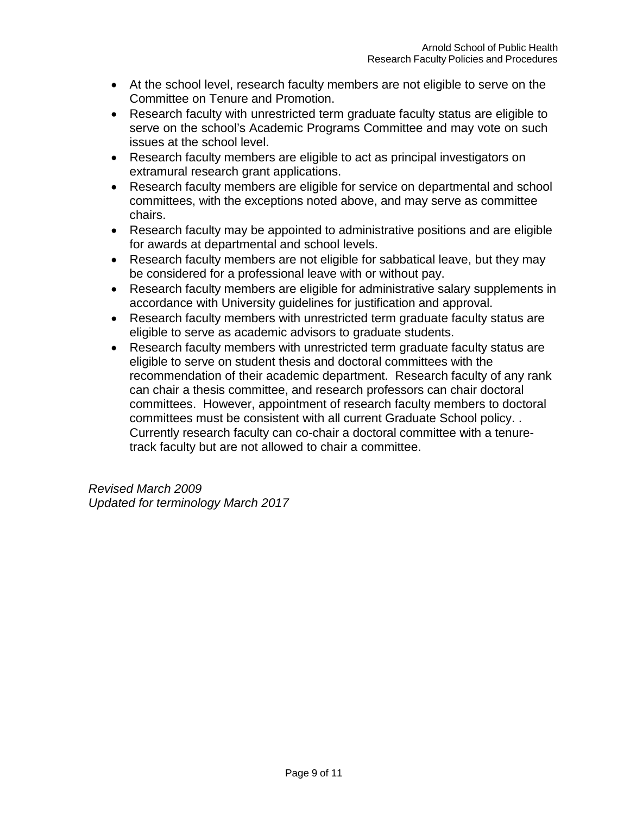- At the school level, research faculty members are not eligible to serve on the Committee on Tenure and Promotion.
- Research faculty with unrestricted term graduate faculty status are eligible to serve on the school's Academic Programs Committee and may vote on such issues at the school level.
- Research faculty members are eligible to act as principal investigators on extramural research grant applications.
- Research faculty members are eligible for service on departmental and school committees, with the exceptions noted above, and may serve as committee chairs.
- Research faculty may be appointed to administrative positions and are eligible for awards at departmental and school levels.
- Research faculty members are not eligible for sabbatical leave, but they may be considered for a professional leave with or without pay.
- Research faculty members are eligible for administrative salary supplements in accordance with University guidelines for justification and approval.
- Research faculty members with unrestricted term graduate faculty status are eligible to serve as academic advisors to graduate students.
- Research faculty members with unrestricted term graduate faculty status are eligible to serve on student thesis and doctoral committees with the recommendation of their academic department. Research faculty of any rank can chair a thesis committee, and research professors can chair doctoral committees. However, appointment of research faculty members to doctoral committees must be consistent with all current Graduate School policy. . Currently research faculty can co-chair a doctoral committee with a tenuretrack faculty but are not allowed to chair a committee.

*Revised March 2009 Updated for terminology March 2017*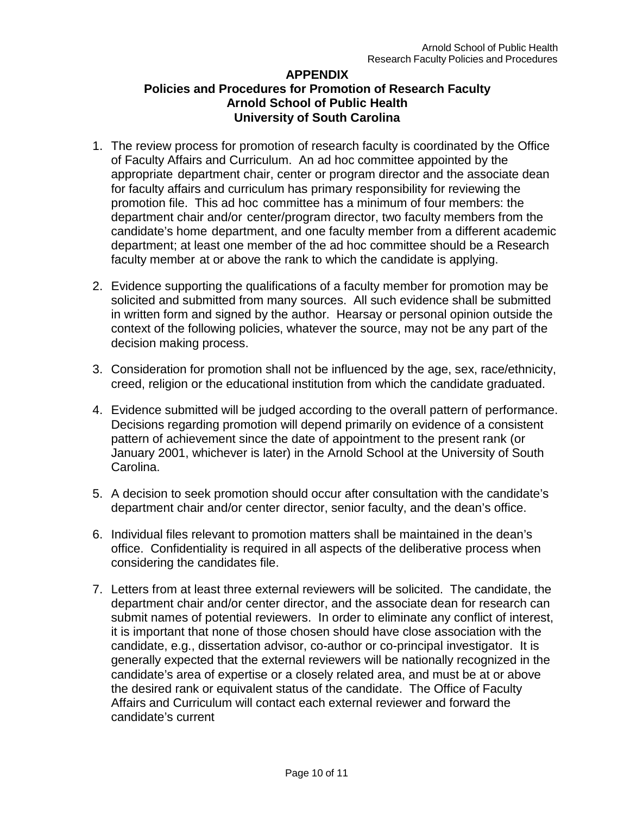### **APPENDIX Policies and Procedures for Promotion of Research Faculty Arnold School of Public Health University of South Carolina**

- 1. The review process for promotion of research faculty is coordinated by the Office of Faculty Affairs and Curriculum. An ad hoc committee appointed by the appropriate department chair, center or program director and the associate dean for faculty affairs and curriculum has primary responsibility for reviewing the promotion file. This ad hoc committee has a minimum of four members: the department chair and/or center/program director, two faculty members from the candidate's home department, and one faculty member from a different academic department; at least one member of the ad hoc committee should be a Research faculty member at or above the rank to which the candidate is applying.
- 2. Evidence supporting the qualifications of a faculty member for promotion may be solicited and submitted from many sources. All such evidence shall be submitted in written form and signed by the author. Hearsay or personal opinion outside the context of the following policies, whatever the source, may not be any part of the decision making process.
- 3. Consideration for promotion shall not be influenced by the age, sex, race/ethnicity, creed, religion or the educational institution from which the candidate graduated.
- 4. Evidence submitted will be judged according to the overall pattern of performance. Decisions regarding promotion will depend primarily on evidence of a consistent pattern of achievement since the date of appointment to the present rank (or January 2001, whichever is later) in the Arnold School at the University of South Carolina.
- 5. A decision to seek promotion should occur after consultation with the candidate's department chair and/or center director, senior faculty, and the dean's office.
- 6. Individual files relevant to promotion matters shall be maintained in the dean's office. Confidentiality is required in all aspects of the deliberative process when considering the candidates file.
- 7. Letters from at least three external reviewers will be solicited. The candidate, the department chair and/or center director, and the associate dean for research can submit names of potential reviewers. In order to eliminate any conflict of interest, it is important that none of those chosen should have close association with the candidate, e.g., dissertation advisor, co-author or co-principal investigator. It is generally expected that the external reviewers will be nationally recognized in the candidate's area of expertise or a closely related area, and must be at or above the desired rank or equivalent status of the candidate. The Office of Faculty Affairs and Curriculum will contact each external reviewer and forward the candidate's current